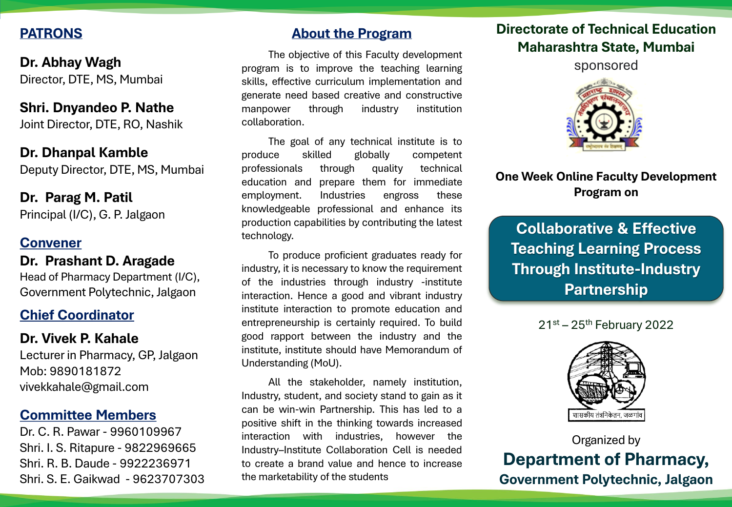# **PATRONS**

**Dr. Abhay Wagh** Director, DTE, MS, Mumbai

**Shri. Dnyandeo P. Nathe** Joint Director, DTE, RO, Nashik

**Dr. Dhanpal Kamble** Deputy Director, DTE, MS, Mumbai

## **Dr. Parag M. Patil** Principal (I/C), G. P. Jalgaon

# **Convener**

**Dr. Prashant D. Aragade**

Head of Pharmacy Department (I/C), Government Polytechnic, Jalgaon

# **Chief Coordinator**

**Dr. Vivek P. Kahale** Lecturer in Pharmacy, GP, Jalgaon Mob: 9890181872 vivekkahale@gmail.com

## **Committee Members**

Dr. C. R. Pawar - 9960109967 Shri. I. S. Ritapure - 9822969665 Shri. R. B. Daude - 9922236971 Shri. S. E. Gaikwad - 9623707303

## **About the Program**

The objective of this Faculty development program is to improve the teaching learning skills, effective curriculum implementation and generate need based creative and constructive manpower through industry institution collaboration.

The goal of any technical institute is to produce skilled globally competent professionals through quality technical education and prepare them for immediate employment. Industries engross these knowledgeable professional and enhance its production capabilities by contributing the latest technology.

To produce proficient graduates ready for industry, it is necessary to know the requirement of the industries through industry -institute interaction. Hence a good and vibrant industry institute interaction to promote education and entrepreneurship is certainly required. To build good rapport between the industry and the institute, institute should have Memorandum of Understanding (MoU).

All the stakeholder, namely institution, Industry, student, and society stand to gain as it can be win-win Partnership. This has led to a positive shift in the thinking towards increased interaction with industries, however the Industry–Institute Collaboration Cell is needed to create a brand value and hence to increase the marketability of the students

# **Directorate of Technical Education Maharashtra State, Mumbai**

sponsored



# **One Week Online Faculty Development Program on**

**Collaborative & Effective Teaching Learning Process Through Institute-Industry Partnership** 





Organized by **Department of Pharmacy, Government Polytechnic, Jalgaon**